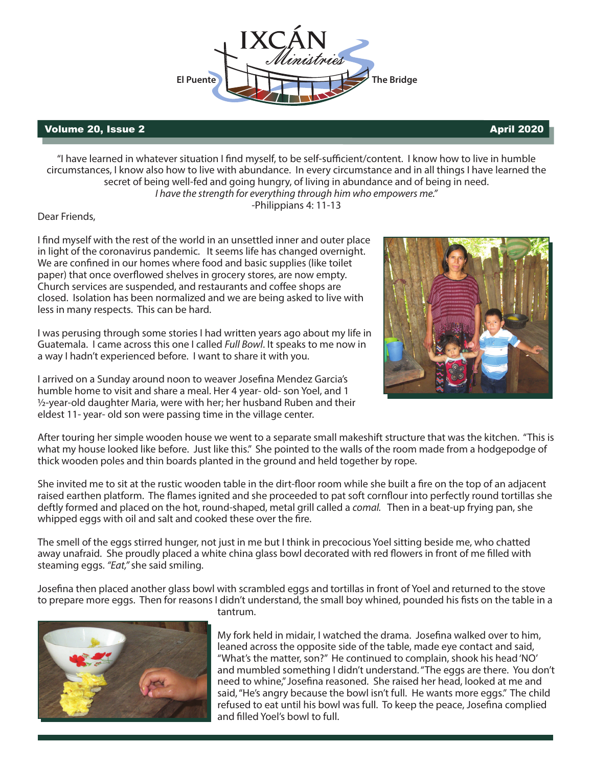

## Volume 20, Issue 2  $\blacksquare$

"I have learned in whatever situation I find myself, to be self-sufficient/content. I know how to live in humble circumstances, I know also how to live with abundance. In every circumstance and in all things I have learned the secret of being well-fed and going hungry, of living in abundance and of being in need. *I have the strength for everything through him who empowers me."*

-Philippians 4: 11-13

Dear Friends,

I find myself with the rest of the world in an unsettled inner and outer place in light of the coronavirus pandemic. It seems life has changed overnight. We are confined in our homes where food and basic supplies (like toilet paper) that once overflowed shelves in grocery stores, are now empty. Church services are suspended, and restaurants and coffee shops are closed. Isolation has been normalized and we are being asked to live with less in many respects. This can be hard.

I was perusing through some stories I had written years ago about my life in Guatemala. I came across this one I called *Full Bowl*. It speaks to me now in a way I hadn't experienced before. I want to share it with you.

I arrived on a Sunday around noon to weaver Josefina Mendez Garcia's humble home to visit and share a meal. Her 4 year- old- son Yoel, and 1 ½-year-old daughter Maria, were with her; her husband Ruben and their eldest 11- year- old son were passing time in the village center.



After touring her simple wooden house we went to a separate small makeshift structure that was the kitchen. "This is what my house looked like before. Just like this." She pointed to the walls of the room made from a hodgepodge of thick wooden poles and thin boards planted in the ground and held together by rope.

She invited me to sit at the rustic wooden table in the dirt-floor room while she built a fire on the top of an adjacent raised earthen platform. The flames ignited and she proceeded to pat soft cornflour into perfectly round tortillas she deftly formed and placed on the hot, round-shaped, metal grill called a *comal.* Then in a beat-up frying pan, she whipped eggs with oil and salt and cooked these over the fire.

The smell of the eggs stirred hunger, not just in me but I think in precocious Yoel sitting beside me, who chatted away unafraid. She proudly placed a white china glass bowl decorated with red flowers in front of me filled with steaming eggs. *"Eat,"* she said smiling.

Josefina then placed another glass bowl with scrambled eggs and tortillas in front of Yoel and returned to the stove to prepare more eggs. Then for reasons I didn't understand, the small boy whined, pounded his fists on the table in a



tantrum.

My fork held in midair, I watched the drama. Josefina walked over to him, leaned across the opposite side of the table, made eye contact and said, "What's the matter, son?" He continued to complain, shook his head 'NO' and mumbled something I didn't understand. "The eggs are there. You don't need to whine," Josefina reasoned. She raised her head, looked at me and said, "He's angry because the bowl isn't full. He wants more eggs." The child refused to eat until his bowl was full. To keep the peace, Josefina complied and filled Yoel's bowl to full.